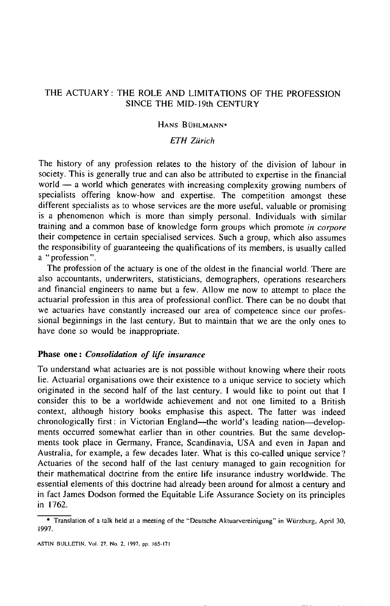## THE ACTUARY: THE ROLE AND LIMITATIONS OF THE PROFESSION SINCE THE MID-19th CENTURY

#### HANS BUHLMANN\*

## *ETH Ziirich*

The history of any profession relates to the history of the division of labour in society. This is generally true and can also be attributed to expertise in the financial world  $-$  a world which generates with increasing complexity growing numbers of specialists offering know-how and expertise. The competition amongst these different specialists as to whose services are the more useful, valuable or promising is a phenomenon which is more than simply personal. Individuals with similar training and a common base of knowledge form groups which promote *in corpore*  their competence in certain specialised services. Such a group, which also assumes the responsibility of guaranteeing the qualifications of its members, is usually called a "profession ".

The profession of the actuary is one of the oldest in the financial world. There are also accountants, underwriters, statisticians, demographers, operations researchers and financial engineers to name but a few. Allow me now to attempt to place the actuarial profession in this area of professional conflict. There can be no doubt that we actuaries have constantly increased our area of competence since our professional beginnings in the last century. But to maintain that we are the only ones to have done so would be inappropriate.

### **Phase one:** *Consolidation of life insurance*

To understand what actuaries are is not possible without knowing where their roots lie. Actuarial organisations owe their existence to a unique service to society which originated in the second half of the last century. I would like to point out that I consider this to be a worldwide achievement and not one limited to a British context, although history books emphasise this aspect. The latter was indeed chronologically first: in Victorian England--the world's leading nation-developments occurred somewhat earlier than in other countries. But the same developments took place in Germany, France, Scandinavia, USA and even in Japan and Australia, for example, a few decades later. What is this co-called unique service? Actuaries of the second half of the last century managed to gain recognition for their mathematical doctrine from the entire life insurance industry worldwide. The essential elements of this doctrine had already been around for almost a century and in fact James Dodson formed the Equitable Life Assurance Society on its principles in 1762.

<sup>\*</sup> Translation of a talk held at a meeting of the "Deutsche Aktuarvereinigung" in Wiirzburg, April 30, 1997.

ASTIN BULLETIN. Vol. 27. No. 2. 1997. pp. 165-171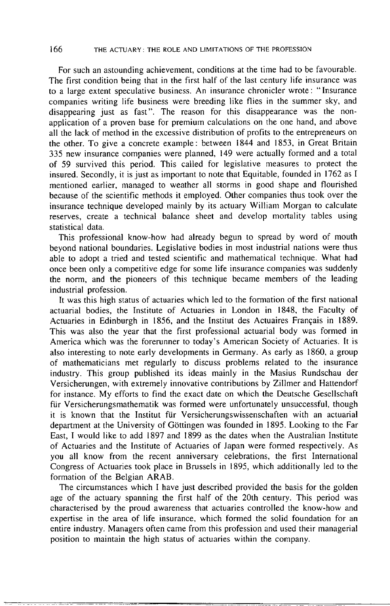### 166 THE ACTUARY: THE ROLE AND LIMITATIONS OF THE PROFESSION

For such an astounding achievement, conditions at the time had to be favourable. The first condition being that in the first half of the last century life insurance was to a large extent speculative business. An insurance chronicler wrote: "Insurance companies writing life business were breeding like flies in the summer sky, and disappearing just as fast". The reason for this disappearance was the nonapplication of a proven base for premium calculations on the one hand, and above all the lack of method in the excessive distribution of profits to the entrepreneurs on the other. To give a concrete example: between 1844 and 1853, in Great Britain 335 new insurance companies were planned, 149 were actually formed and a total of 59 survived this period. This called for legislative measures to protect the insured. Secondly, it is just as important to note that Equitable, founded in 1762 as I mentioned earlier, managed to weather all storms in good shape and flourished because of the scientific methods it employed. Other companies thus took over the insurance technique developed mainly by its actuary William Morgan to calculate reserves, create a technical balance sheet and develop mortality tables using statistical data.

This professional know-how had already begun to spread by word of mouth beyond national boundaries. Legislative bodies in most industrial nations were thus able to adopt a tried and tested scientific and mathematical technique. What had once been only a competitive edge for some life insurance companies was suddenly the norm, and the pioneers of this technique became members of the leading industrial profession.

It was this high status of actuaries which led to the formation of the first national actuarial bodies, the Institute of Actuaries in London in 1848, the Faculty of Actuaries in Edinburgh in 1856, and the Institut des Actuaires Franqais in 1889. This was also the year that the first professional actuarial body was formed in America which was the forerunner to today's American Society of Actuaries. It is also interesting to note early developments in Germany. As early as 1860, a group of mathematicians met regularly to discuss problems related to the insurance industry. This group published its ideas mainly in the Masius Rundschau der Versicherungen, with extremely innovative contributions by Zillmer and Hattendorf for instance. My efforts to find the exact date on which the Deutsche Gesellschaft für Versicherungsmathematik was formed were unfortunately unsuccessful, though it is known that the Institut für Versicherungswissenschaften with an actuarial department at the University of Göttingen was founded in 1895. Looking to the Far East, I would like to add 1897 and 1899 as the dates when the Australian Institute of Actuaries and the Institute of Actuaries of Japan were formed respectively. As you all know from the recent anniversary celebrations, the first International Congress of Actuaries took place in Brussels in 1895, which additionally led to the formation of the Belgian ARAB.

The circumstances which I have just described provided the basis for the golden age of the actuary spanning the first half of the 20th century. This period was characterised by the proud awareness that actuaries controlled the know-how and expertise in the area of life insurance, which formed the solid foundation for an entire industry. Managers often came from this profession and used their managerial position to maintain the high status of actuaries within the company.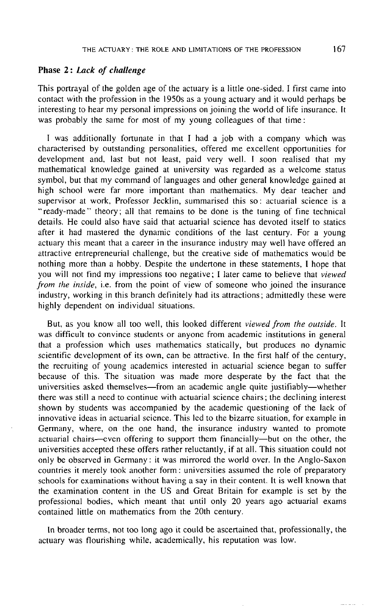#### **Phase 2:** *Lack of challenge*

This portrayal of the golden age of the actuary is a little one-sided. I first came into contact with the profession in the 1950s as a young actuary and it would perhaps be interesting to hear my personal impressions on joining the world of life insurance. It was probably the same for most of my young colleagues of that time:

I was additionally fortunate in that I had a job with a company which was characterised by outstanding personalities, offered me excellent opportunities for development and, last but not least, paid very well. I soon realised that my mathematical knowledge gained at university was regarded as a welcome status symbol, but that my command of languages and other general knowledge gained at high school were far more important than mathematics. My dear teacher and supervisor at work, Professor Jecklin, summarised this so: actuarial science is a "ready-made" theory; all that remains to be done is the tuning of fine technical details. He could also have said that actuarial science has devoted itself to statics after it had mastered the dynamic conditions of the last century. For a young actuary this meant that a career in the insurance industry may well have offered an attractive entrepreneurial challenge, but the creative side of mathematics would be nothing more than a hobby. Despite the undertone in these statements, I hope that you will not find my impressions too negative; I later came to believe that *viewed from the inside,* i.e. from the point of view of someone who joined the insurance industry, working in this branch definitely had its attractions; admittedly these were highly dependent on individual situations.

But, as you know all too well, this looked different *viewed from the outside.* It was difficult to convince students or anyone from academic institutions in general that a profession which uses mathematics statically, but produces no dynamic scientific development of its own, can be attractive. In the first half of the century, the recruiting of young academics interested in actuarial science began to suffer because of this. The situation was made more desperate by the fact that the universities asked themselves—from an academic angle quite justifiably—whether there was still a need to continue with actuarial science chairs; the declining interest shown by students was accompanied by the academic questioning of the lack of innovative ideas in actuarial science. This led to the bizarre situation, for example in Germany, where, on the one hand, the insurance industry wanted to promote actuarial chairs-even offering to support them financially-but on the other, the universities accepted these offers rather reluctantly, if at all. This situation could not only be observed in Germany: it was mirrored the world over. In the Anglo-Saxon countries it merely took another form : universities assumed the role of preparatory schools for examinations without having a say in their content. It is well known that the examination content in the US and Great Britain for example is set by the professional bodies, which meant that until only 20 years ago actuarial exams contained little on mathematics from the 20th century.

In broader terms, not too long ago it could be ascertained that, professionally, the actuary was flourishing while, academically, his reputation was low.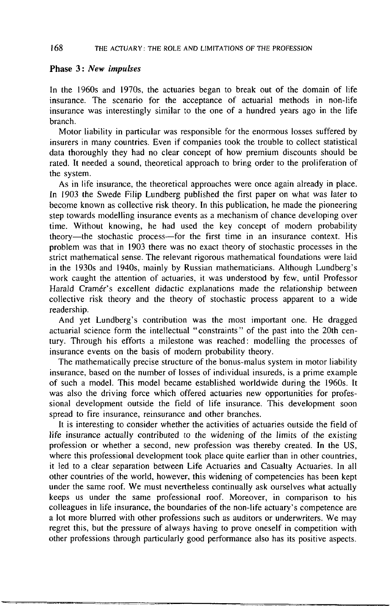#### **Phase 3:** *New impulses*

In the 1960s and 1970s, the actuaries began to break out of the domain of life insurance. The scenario for the acceptance of actuarial methods in non-life insurance was interestingly similar to the one of a hundred years ago in the life branch.

Motor liability in particular was responsible for the enormous losses suffered by insurers in many countries. Even if companies took the trouble to collect statistical data thoroughly they had no clear concept of how premium discounts should be rated. It needed a sound, theoretical approach to bring order to the proliferation of the system.

As in life insurance, the theoretical approaches were once again already in place. In 1903 the Swede Filip Lundberg published the first paper on what was later to become known as collective risk theory. In this publication, he made the pioneering step towards modelling insurance events as a mechanism of chance developing over time. Without knowing, he had used the key concept of modern probability theory--the stochastic process--for the first time in an insurance context. His problem was that in 1903 there was no exact theory of stochastic processes in the strict mathematical sense. The relevant rigorous mathematical foundations were laid in the 1930s and 1940s, mainly by Russian mathematicians. Although Lundberg's work caught the attention of actuaries, it was understood by few, until Professor Harald Cramér's excellent didactic explanations made the relationship between collective risk theory and the theory of stochastic process apparent to a wide readership.

And yet Lundberg's contribution was the most important one. He dragged actuarial science form the intellectual "constraints" of the past into the 20th century. Through his efforts a milestone was reached: modelling the processes of insurance events on the basis of modem probability theory.

The mathematically precise structure of the bonus-malus system in motor liability insurance, based on the number of losses of individual insureds, is a prime example of such a model. This model became established worldwide during the 1960s. It was also the driving force which offered actuaries new opportunities for professional development outside the field of life insurance. This development soon spread to fire insurance, reinsurance and other branches.

It is interesting to consider whether the activities of actuaries outside the field of life insurance actually contributed to the widening of the limits of the existing profession or whether a second, new profession was thereby created. In the US, where this professional development took place quite earlier than in other countries, it ted to a clear separation between Life Actuaries and Casualty Actuaries. In all other countries of the world, however, this widening of competencies has been kept under the same roof. We must nevertheless continually ask ourselves what actually keeps us under the same professional roof. Moreover, in comparison to his colleagues in life insurance, the boundaries of the non-life actuary's competence are a lot more blurred with other professions such as auditors or underwriters. We may regret this, but the pressure of always having to prove oneself in competition with other professions through particularly good performance also has its positive aspects.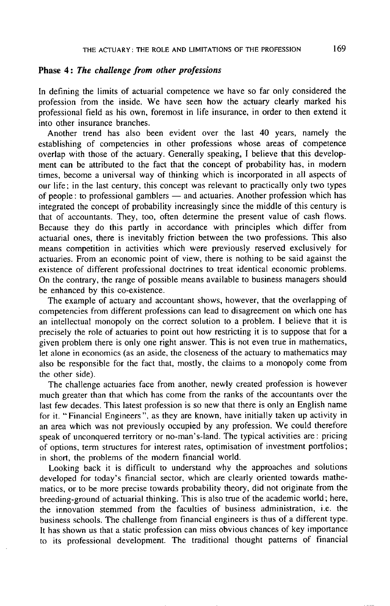#### **Phase** 4 : *The challenge from other professions*

In defining the limits of actuarial competence we have so far only considered the profession from the inside. We have seen how the actuary clearly marked his professional field as his own, foremost in life insurance, in order to then extend it into other insurance branches.

Another trend has also been evident over the last 40 years, namely the establishing of competencies in other professions whose areas of competence overlap with those of the actuary. Generally speaking, I believe that this development can be attributed to the fact that the concept of probability has, in modern times, become a universal way of thinking which is incorporated in all aspects of our life; in the last century, this concept was relevant to practically only two types of people : to professional gamblers -- and actuaries. Another profession which has integrated the concept of probability increasingly since the middle of this century is that of accountants. They, too, often determine the present value of cash flows. Because they do this partly in accordance with principles which differ from actuarial ones, there is inevitably friction between the two professions. This also means competition in activities which were previously reserved exclusively for actuaries. From an economic point of view, there is nothing to be said against the existence of different professional doctrines to treat identical economic problems. On the contrary, the range of possible means available to business managers should be enhanced by this co-existence.

The example of actuary and accountant shows, however, that the overlapping of competencies from different professions can lead to disagreement on which one has an intellectual monopoly on the correct solution to a problem. I believe that it is precisely the role of actuaries to point out how restricting it is to suppose that for a given problem there is only one right answer. This is not even true in mathematics, let alone in economics (as an aside, the closeness of the actuary to mathematics may also be responsible for the fact that, mostly, the claims to a monopoly come from the other side).

The challenge actuaries face from another, newly created profession is however much greater than that which has come from the ranks of the accountants over the last few decades. This latest profession is so new that there is only an English name for it. "Financial Engineers", as they are known, have initially taken up activity in an area which was not previously occupied by any profession. We could therefore speak of unconquered territory or no-man's-land. The typical activities are : pricing of options, term structures for interest rates, optimisation of investment portfolios ; in short, the problems of the modern financial world.

Looking back it is difficult to understand why the approaches and solutions developed for today's financial sector, which are clearly oriented towards mathematics, or to be more precise towards probability theory, did not originate from the breeding-ground of actuarial thinking. This is also true of the academic world ; here, the innovation stemmed from the faculties of business administration, i.e. the business schools. The challenge from financial engineers is thus of a different type. It has shown us that a static profession can miss obvious chances of key importance to its professional development. The traditional thought patterns of financial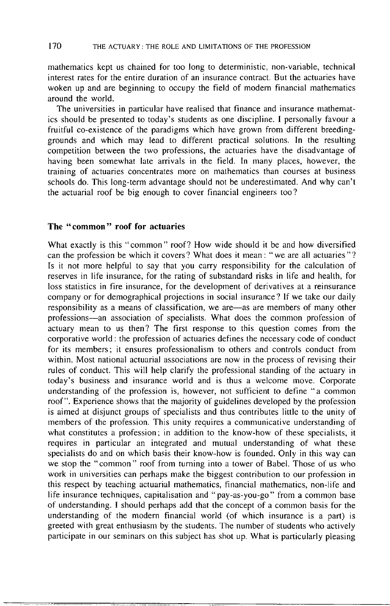mathematics kept us chained for too long to deterministic, non-variable, technical interest rates for the entire duration of an insurance contract. But the actuaries have woken up and are beginning to occupy the field of modern financial mathematics around the world.

The universities in particular have realised that finance and insurance mathematics should be presented to today's students as one discipline. I personally favour a fruitful co-existence of the paradigms which have grown from different breedinggrounds and which may lead to different practical solutions. In the resulting competition between the two professions, the actuaries have the disadvantage of having been somewhat late arrivals in the field. In many places, however, the training of actuaries concentrates more on mathematics than courses at business schools do. This long-term advantage should not be underestimated. And why can't the actuarial roof be big enough to cover financial engineers too?

# **The "common" roof for actuaries**

What exactly is this "common" roof? How wide should it be and how diversified can the profession be which it covers? What does it mean: "we are all actuaries ''9 Is it not more helpful to say that you carry responsibility for the calculation of reserves in life insurance, for the rating of substandard risks in life and health, for loss statistics in fire insurance, for the development of derivatives at a reinsurance company or for demographical projections in social insurance ? If we take our daily responsibility as a means of classification, we are-as are members of many other professions--an association of specialists. What does the common profession of actuary mean to us then? The first response to this question comes from the corporative world : the profession of actuaries defines the necessary code of conduct for its members; it ensures professionalism to others and controls conduct from within. Most national actuarial associations are now in the process of revising their rules of conduct. This will help clarify the professional standing of the actuary in today's business and insurance world and is thus a welcome move. Corporate understanding of the profession is, however, not sufficient to define "a comrnon roof". Experience shows that the majority of guidelines developed by the profession is aimed at disjunct groups of specialists and thus contributes little to the unity of members of the profession. This unity requires a communicative understanding of what constitutes a profession; in addition to the know-how of these specialists, it requires in particular an integrated and mutual understanding of what these specialists do and on which basis their know-how is founded. Only in this way can we stop the "common" roof from turning into a tower of Babel. Those of us who work in universities can perhaps make the biggest contribution to our profession in this respect by teaching actuarial mathematics, financial mathematics, non-life and life insurance techniques, capitalisation and "pay-as-you-go" from a common base of understanding. I should perhaps add that the concept of a common basis for the understanding of the modern financial world (of which insurance is a part) is greeted with great enthusiasm by the students. The number of students who actively participate in our seminars on this subject has shot up. What is particularly pleasing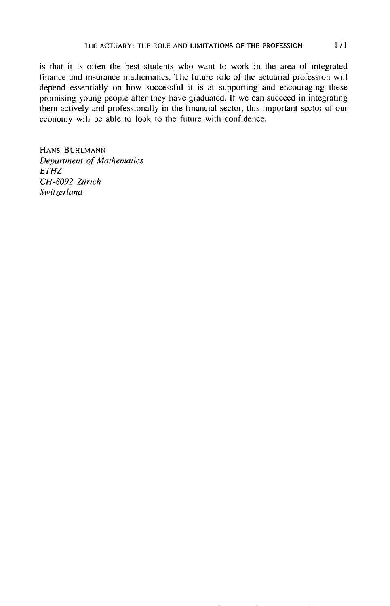is that it is often the best students who want to work in the area of integrated finance and insurance mathematics. The future role of the actuarial profession will depend essentially on how successful it is at supporting and encouraging these promising young people after they have graduated. If we can succeed in integrating them actively and professionally in the financial sector, this important sector of our economy will be able to look to the future with confidence.

HANS BUHLMANN *Department of Mathematics ETHZ CH-8092 Ziirich Switzerland*